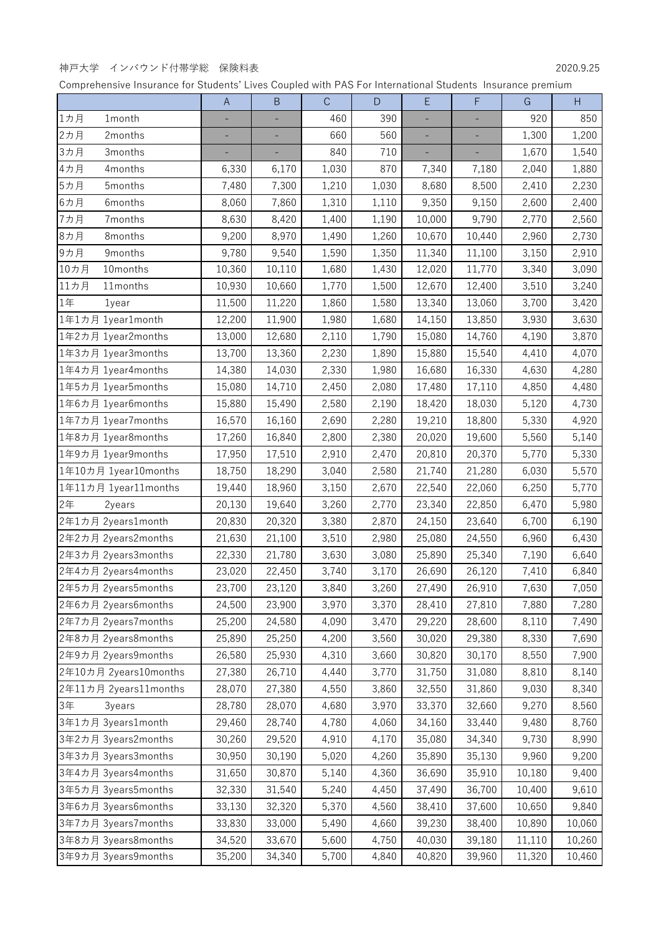## 神戸大学 インバウンド付帯学総 保険料表 2020.9.25

|                       | $\overline{A}$ | $\sf B$ | $\mathsf{C}$ | $\mathsf D$ | $\mathsf{E}% _{0}\left( \mathsf{E}\right)$ | $\mathsf F$ | G      | $\mathsf{H}$ |
|-----------------------|----------------|---------|--------------|-------------|--------------------------------------------|-------------|--------|--------------|
| 1カ月<br>1month         |                |         | 460          | 390         |                                            |             | 920    | 850          |
| 2カ月<br>2months        | ÷,             | ÷       | 660          | 560         | $\overline{\phantom{a}}$                   | ÷           | 1,300  | 1,200        |
| 3カ月<br>3months        |                |         | 840          | 710         |                                            |             | 1,670  | 1,540        |
| 4カ月<br>4months        | 6,330          | 6,170   | 1,030        | 870         | 7,340                                      | 7,180       | 2,040  | 1,880        |
| 5カ月<br>5months        | 7,480          | 7,300   | 1,210        | 1,030       | 8,680                                      | 8,500       | 2,410  | 2,230        |
| 6カ月<br>6months        | 8,060          | 7,860   | 1,310        | 1,110       | 9,350                                      | 9,150       | 2,600  | 2,400        |
| 7カ月<br>7months        | 8,630          | 8,420   | 1,400        | 1,190       | 10,000                                     | 9,790       | 2,770  | 2,560        |
| 8カ月<br>8months        | 9,200          | 8,970   | 1,490        | 1,260       | 10,670                                     | 10,440      | 2,960  | 2,730        |
| 9カ月<br>9months        | 9,780          | 9,540   | 1,590        | 1,350       | 11,340                                     | 11,100      | 3,150  | 2,910        |
| 10カ月<br>10months      | 10,360         | 10,110  | 1,680        | 1,430       | 12,020                                     | 11,770      | 3,340  | 3,090        |
| 11カ月<br>11months      | 10,930         | 10,660  | 1,770        | 1,500       | 12,670                                     | 12,400      | 3,510  | 3,240        |
| 1年<br>1year           | 11,500         | 11,220  | 1,860        | 1,580       | 13,340                                     | 13,060      | 3,700  | 3,420        |
| 1年1カ月 1year1month     | 12,200         | 11,900  | 1,980        | 1,680       | 14,150                                     | 13,850      | 3,930  | 3,630        |
| 1年2カ月 1year2months    | 13,000         | 12,680  | 2,110        | 1,790       | 15,080                                     | 14,760      | 4,190  | 3,870        |
| 1年3カ月 1year3months    | 13,700         | 13,360  | 2,230        | 1,890       | 15,880                                     | 15,540      | 4,410  | 4,070        |
| 1年4カ月 1year4months    | 14,380         | 14,030  | 2,330        | 1,980       | 16,680                                     | 16,330      | 4,630  | 4,280        |
| 1年5カ月 1year5months    | 15,080         | 14,710  | 2,450        | 2,080       | 17,480                                     | 17,110      | 4,850  | 4,480        |
| 1年6カ月 1year6months    | 15,880         | 15,490  | 2,580        | 2,190       | 18,420                                     | 18,030      | 5,120  | 4,730        |
| 1年7カ月 1year7months    | 16,570         | 16,160  | 2,690        | 2,280       | 19,210                                     | 18,800      | 5,330  | 4,920        |
| 1年8カ月 1year8months    | 17,260         | 16,840  | 2,800        | 2,380       | 20,020                                     | 19,600      | 5,560  | 5,140        |
| 1年9カ月 1year9months    | 17,950         | 17,510  | 2,910        | 2,470       | 20,810                                     | 20,370      | 5,770  | 5,330        |
| 1年10カ月 1year10months  | 18,750         | 18,290  | 3,040        | 2,580       | 21,740                                     | 21,280      | 6,030  | 5,570        |
| 1年11カ月 1year11months  | 19,440         | 18,960  | 3,150        | 2,670       | 22,540                                     | 22,060      | 6,250  | 5,770        |
| 2年<br>2years          | 20,130         | 19,640  | 3,260        | 2,770       | 23,340                                     | 22,850      | 6,470  | 5,980        |
| 2年1カ月 2years1month    | 20,830         | 20,320  | 3,380        | 2,870       | 24,150                                     | 23,640      | 6,700  | 6,190        |
| 2年2カ月 2years2months   | 21,630         | 21,100  | 3,510        | 2,980       | 25,080                                     | 24,550      | 6,960  | 6,430        |
| 2年3カ月 2years3months   | 22,330         | 21,780  | 3,630        | 3,080       | 25,890                                     | 25,340      | 7,190  | 6,640        |
| 2年4カ月 2years4months   | 23,020         | 22,450  | 3,740        | 3,170       | 26,690                                     | 26,120      | 7,410  | 6,840        |
| 2年5カ月 2years5months   | 23,700         | 23,120  | 3,840        | 3,260       | 27,490                                     | 26,910      | 7,630  | 7,050        |
| 2年6カ月 2years6months   | 24,500         | 23,900  | 3,970        | 3,370       | 28,410                                     | 27,810      | 7,880  | 7,280        |
| 2年7カ月 2years7months   | 25,200         | 24,580  | 4,090        | 3,470       | 29,220                                     | 28,600      | 8,110  | 7,490        |
| 2年8カ月 2years8months   | 25,890         | 25,250  | 4,200        | 3,560       | 30,020                                     | 29,380      | 8,330  | 7,690        |
| 2年9カ月 2years9months   | 26,580         | 25,930  | 4,310        | 3,660       | 30,820                                     | 30,170      | 8,550  | 7,900        |
| 2年10カ月 2years10months | 27,380         | 26,710  | 4,440        | 3,770       | 31,750                                     | 31,080      | 8,810  | 8,140        |
| 2年11カ月 2years11months | 28,070         | 27,380  | 4,550        | 3,860       | 32,550                                     | 31,860      | 9,030  | 8,340        |
| 3年<br>3years          | 28,780         | 28,070  | 4,680        | 3,970       | 33,370                                     | 32,660      | 9,270  | 8,560        |
| 3年1カ月 3years1month    | 29,460         | 28,740  | 4,780        | 4,060       | 34,160                                     | 33,440      | 9,480  | 8,760        |
| 3年2カ月 3years2months   | 30,260         | 29,520  | 4,910        | 4,170       | 35,080                                     | 34,340      | 9,730  | 8,990        |
| 3年3カ月 3years3months   | 30,950         | 30,190  | 5,020        | 4,260       | 35,890                                     | 35,130      | 9,960  | 9,200        |
| 3年4カ月 3years4months   | 31,650         | 30,870  | 5,140        | 4,360       | 36,690                                     | 35,910      | 10,180 | 9,400        |
| 3年5カ月 3years5months   | 32,330         | 31,540  | 5,240        | 4,450       | 37,490                                     | 36,700      | 10,400 | 9,610        |
| 3年6カ月 3years6months   | 33,130         | 32,320  | 5,370        | 4,560       | 38,410                                     | 37,600      | 10,650 | 9,840        |
| 3年7カ月 3years7months   | 33,830         | 33,000  | 5,490        | 4,660       | 39,230                                     | 38,400      | 10,890 | 10,060       |
| 3年8カ月 3years8months   | 34,520         | 33,670  | 5,600        | 4,750       | 40,030                                     | 39,180      | 11,110 | 10,260       |
| 3年9カ月 3years9months   | 35,200         | 34,340  | 5,700        | 4,840       | 40,820                                     | 39,960      | 11,320 | 10,460       |